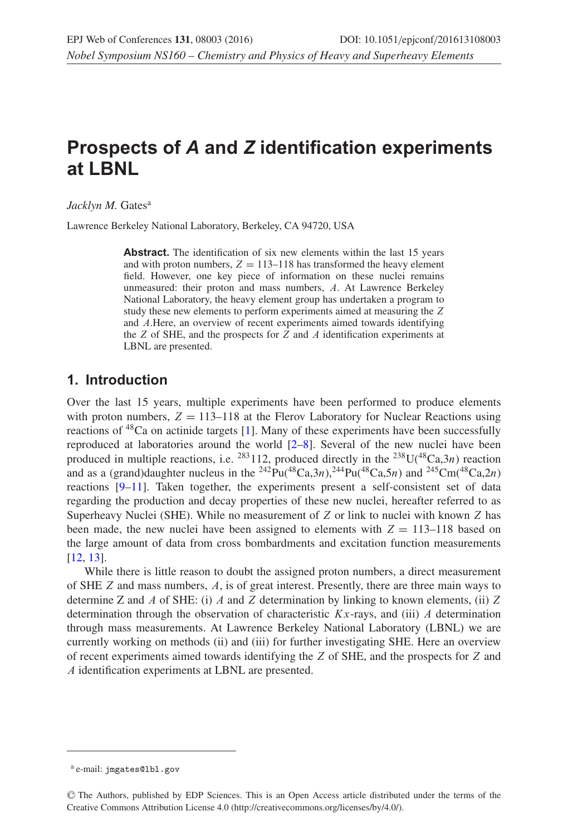# **Prospects of** *A* **and** *Z* **identification experiments at LBNL**

Jacklyn M. Gates<sup>a</sup>

Lawrence Berkeley National Laboratory, Berkeley, CA 94720, USA

Abstract. The identification of six new elements within the last 15 years and with proton numbers,  $Z = 113-118$  has transformed the heavy element field. However, one key piece of information on these nuclei remains unmeasured: their proton and mass numbers, A. At Lawrence Berkeley National Laboratory, the heavy element group has undertaken a program to study these new elements to perform experiments aimed at measuring the Z and A.Here, an overview of recent experiments aimed towards identifying the  $Z$  of SHE, and the prospects for  $Z$  and  $A$  identification experiments at LBNL are presented.

### **1. Introduction**

Over the last 15 years, multiple experiments have been performed to produce elements with proton numbers,  $Z = 113-118$  at the Flerov Laboratory for Nuclear Reactions using reactions of  ${}^{48}Ca$  on actinide targets [\[1\]](#page-5-0). Many of these experiments have been successfully reproduced at laboratories around the world [\[2](#page-5-1)[–8](#page-5-2)]. Several of the new nuclei have been produced in multiple reactions, i.e.  $^{283}112$ , produced directly in the  $^{238}U(^{48}Ca,3n)$  reaction and as a (grand)daughter nucleus in the <sup>242</sup>Pu(<sup>48</sup>Ca,3n),<sup>244</sup>Pu(<sup>48</sup>Ca,5n) and <sup>245</sup>Cm(<sup>48</sup>Ca,2n) reactions [\[9](#page-5-3)[–11](#page-5-4)]. Taken together, the experiments present a self-consistent set of data regarding the production and decay properties of these new nuclei, hereafter referred to as Superheavy Nuclei (SHE). While no measurement of  $Z$  or link to nuclei with known  $Z$  has been made, the new nuclei have been assigned to elements with  $Z = 113-118$  based on the large amount of data from cross bombardments and excitation function measurements [\[12](#page-5-5), [13\]](#page-5-6).

While there is little reason to doubt the assigned proton numbers, a direct measurement of SHE Z and mass numbers, A, is of great interest. Presently, there are three main ways to determine Z and A of SHE: (i) A and Z determination by linking to known elements, (ii) Z determination through the observation of characteristic  $Kx$ -rays, and (iii) A determination through mass measurements. At Lawrence Berkeley National Laboratory (LBNL) we are currently working on methods (ii) and (iii) for further investigating SHE. Here an overview of recent experiments aimed towards identifying the Z of SHE, and the prospects for Z and A identification experiments at LBNL are presented.

<sup>a</sup> e-mail: jmgates@lbl.gov

<sup>C</sup> The Authors, published by EDP Sciences. This is an Open Access article distributed under the terms of the Creative Commons Attribution License 4.0 (http://creativecommons.org/licenses/by/4.0/).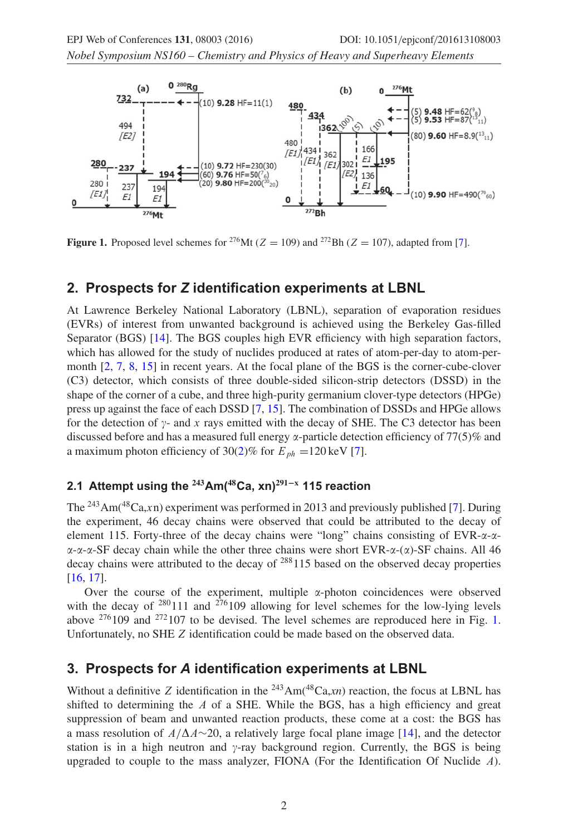*Nobel Symposium NS160 – Chemistry and Physics of Heavy and Superheavy Elements*

<span id="page-1-0"></span>

**Figure 1.** Proposed level schemes for <sup>276</sup>Mt ( $Z = 109$ ) and <sup>272</sup>Bh ( $Z = 107$ ), adapted from [\[7\]](#page-5-7).

### **2. Prospects for** *Z* **identification experiments at LBNL**

At Lawrence Berkeley National Laboratory (LBNL), separation of evaporation residues (EVRs) of interest from unwanted background is achieved using the Berkeley Gas-filled Separator (BGS) [\[14](#page-5-8)]. The BGS couples high EVR efficiency with high separation factors, which has allowed for the study of nuclides produced at rates of atom-per-day to atom-permonth [\[2,](#page-5-1) [7,](#page-5-7) [8](#page-5-2), [15\]](#page-5-9) in recent years. At the focal plane of the BGS is the corner-cube-clover (C3) detector, which consists of three double-sided silicon-strip detectors (DSSD) in the shape of the corner of a cube, and three high-purity germanium clover-type detectors (HPGe) press up against the face of each DSSD [\[7,](#page-5-7) [15\]](#page-5-9). The combination of DSSDs and HPGe allows for the detection of  $\gamma$ - and x rays emitted with the decay of SHE. The C3 detector has been discussed before and has a measured full energy  $\alpha$ -particle detection efficiency of 77(5)% and a maximum photon efficiency of 30[\(2\)](#page-3-0)% for  $E_{ph} = 120 \,\text{keV}$  [\[7\]](#page-5-7).

#### **2.1 Attempt using the <sup>243</sup>Am(<sup>48</sup>Ca, xn)<sup>291</sup>−<sup>x</sup> 115 reaction**

The <sup>243</sup>Am(<sup>48</sup>Ca,xn) experiment was performed in 2013 and previously published [\[7](#page-5-7)]. During the experiment, 46 decay chains were observed that could be attributed to the decay of element 115. Forty-three of the decay chains were "long" chains consisting of  $EVR$ - $\alpha$ - $\alpha$ - $\alpha$ - $\alpha$ - $\alpha$ -SF decay chain while the other three chains were short EVR- $\alpha$ - $(\alpha)$ -SF chains. All 46 decay chains were attributed to the decay of  $288115$  based on the observed decay properties [\[16](#page-5-10), [17\]](#page-5-11).

Over the course of the experiment, multiple  $\alpha$ -photon coincidences were observed with the decay of  $280111$  and  $276109$  allowing for level schemes for the low-lying levels above  $276109$  and  $272107$  to be devised. The level schemes are reproduced here in Fig. [1.](#page-1-0) Unfortunately, no SHE Z identification could be made based on the observed data.

#### **3. Prospects for** *A* **identification experiments at LBNL**

Without a definitive Z identification in the  $^{243}Am(^{48}Ca,xn)$  reaction, the focus at LBNL has shifted to determining the  $A$  of a SHE. While the BGS, has a high efficiency and great suppression of beam and unwanted reaction products, these come at a cost: the BGS has a mass resolution of  $A/\Delta A \sim 20$ , a relatively large focal plane image [\[14](#page-5-8)], and the detector station is in a high neutron and  $\gamma$ -ray background region. Currently, the BGS is being upgraded to couple to the mass analyzer, FIONA (For the Identification Of Nuclide  $\Lambda$ ).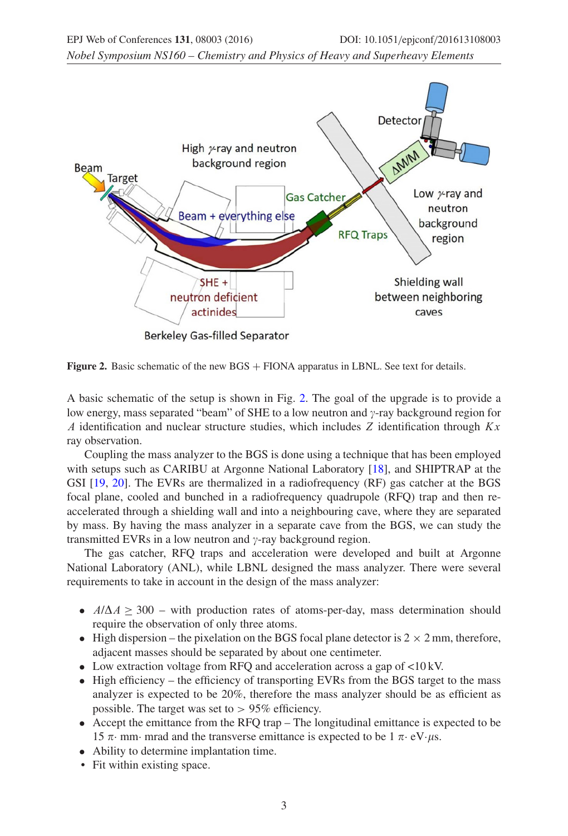<span id="page-2-0"></span>

**Figure 2.** Basic schematic of the new BGS + FIONA apparatus in LBNL. See text for details.

A basic schematic of the setup is shown in Fig. [2.](#page-2-0) The goal of the upgrade is to provide a low energy, mass separated "beam" of SHE to a low neutron and  $\gamma$ -ray background region for A identification and nuclear structure studies, which includes Z identification through  $Kx$ ray observation.

Coupling the mass analyzer to the BGS is done using a technique that has been employed with setups such as CARIBU at Argonne National Laboratory [\[18\]](#page-5-12), and SHIPTRAP at the GSI [\[19](#page-5-13), [20](#page-5-14)]. The EVRs are thermalized in a radiofrequency (RF) gas catcher at the BGS focal plane, cooled and bunched in a radiofrequency quadrupole (RFQ) trap and then reaccelerated through a shielding wall and into a neighbouring cave, where they are separated by mass. By having the mass analyzer in a separate cave from the BGS, we can study the transmitted EVRs in a low neutron and  $\gamma$ -ray background region.

The gas catcher, RFQ traps and acceleration were developed and built at Argonne National Laboratory (ANL), while LBNL designed the mass analyzer. There were several requirements to take in account in the design of the mass analyzer:

- $A/\Delta A \geq 300$  with production rates of atoms-per-day, mass determination should require the observation of only three atoms.
- High dispersion the pixelation on the BGS focal plane detector is  $2 \times 2$  mm, therefore, adjacent masses should be separated by about one centimeter.
- Low extraction voltage from RFQ and acceleration across a gap of <10 kV.
- High efficiency the efficiency of transporting EVRs from the BGS target to the mass analyzer is expected to be 20%, therefore the mass analyzer should be as efficient as possible. The target was set to  $> 95\%$  efficiency.
- Accept the emittance from the RFQ trap The longitudinal emittance is expected to be 15  $\pi$  mm mrad and the transverse emittance is expected to be 1  $\pi$  eV  $\mu$ s.
- Ability to determine implantation time.
- Fit within existing space.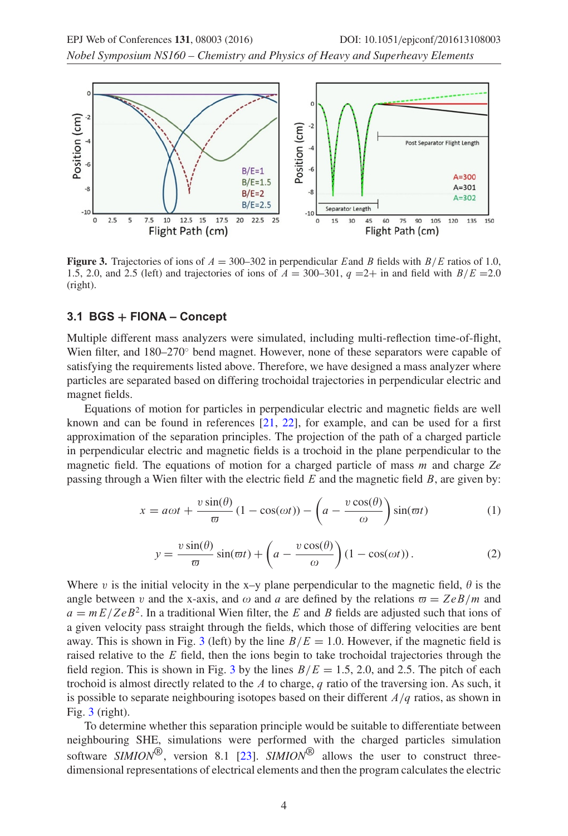<span id="page-3-1"></span>

**Figure 3.** Trajectories of ions of  $A = 300-302$  in perpendicular Eand B fields with  $B/E$  ratios of 1.0, 1.5, 2.0, and 2.5 (left) and trajectories of ions of  $A = 300-301$ ,  $q = 2+$  in and field with  $B/E = 2.0$ (right).

#### **3.1 BGS + FIONA – Concept**

Multiple different mass analyzers were simulated, including multi-reflection time-of-flight, Wien filter, and 180–270◦ bend magnet. However, none of these separators were capable of satisfying the requirements listed above. Therefore, we have designed a mass analyzer where particles are separated based on differing trochoidal trajectories in perpendicular electric and magnet fields.

Equations of motion for particles in perpendicular electric and magnetic fields are well known and can be found in references [\[21](#page-5-15), [22\]](#page-5-16), for example, and can be used for a first approximation of the separation principles. The projection of the path of a charged particle in perpendicular electric and magnetic fields is a trochoid in the plane perpendicular to the magnetic field. The equations of motion for a charged particle of mass m and charge *Ze* passing through a Wien filter with the electric field  $E$  and the magnetic field  $B$ , are given by:

$$
x = a\omega t + \frac{v\sin(\theta)}{\varpi} (1 - \cos(\omega t)) - \left( a - \frac{v\cos(\theta)}{\omega} \right) \sin(\varpi t)
$$
 (1)

$$
y = \frac{v \sin(\theta)}{\varpi} \sin(\varpi t) + \left( a - \frac{v \cos(\theta)}{\omega} \right) (1 - \cos(\omega t)). \tag{2}
$$

<span id="page-3-0"></span>Where v is the initial velocity in the x–y plane perpendicular to the magnetic field,  $\theta$  is the angle between v and the x-axis, and  $\omega$  and a are defined by the relations  $\overline{\omega} = ZeB/m$  and  $a = mE/ZeB<sup>2</sup>$ . In a traditional Wien filter, the E and B fields are adjusted such that ions of a given velocity pass straight through the fields, which those of differing velocities are bent away. This is shown in Fig. [3](#page-3-1) (left) by the line  $B/E = 1.0$ . However, if the magnetic field is raised relative to the  $E$  field, then the ions begin to take trochoidal trajectories through the field region. This is shown in Fig. [3](#page-3-1) by the lines  $B/E = 1.5$ , 2.0, and 2.5. The pitch of each trochoid is almost directly related to the  $A$  to charge,  $q$  ratio of the traversing ion. As such, it is possible to separate neighbouring isotopes based on their different  $A/q$  ratios, as shown in Fig. [3](#page-3-1) (right).

To determine whether this separation principle would be suitable to differentiate between neighbouring SHE, simulations were performed with the charged particles simulation software *SIMION*®, version 8.1 [\[23\]](#page-5-17). *SIMION*® allows the user to construct threedimensional representations of electrical elements and then the program calculates the electric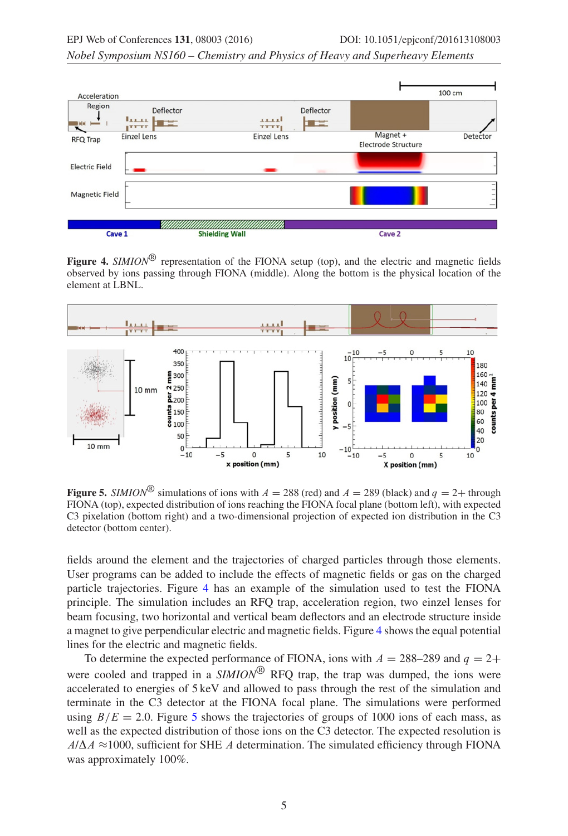*Nobel Symposium NS160 – Chemistry and Physics of Heavy and Superheavy Elements*

<span id="page-4-0"></span>

Figure 4. *SIMION*<sup>®</sup> representation of the FIONA setup (top), and the electric and magnetic fields observed by ions passing through FIONA (middle). Along the bottom is the physical location of the element at LBNL.

<span id="page-4-1"></span>

**Figure 5.** *SIMION*<sup>®</sup> simulations of ions with  $A = 288$  (red) and  $A = 289$  (black) and  $q = 2+$  through FIONA (top), expected distribution of ions reaching the FIONA focal plane (bottom left), with expected C3 pixelation (bottom right) and a two-dimensional projection of expected ion distribution in the C3 detector (bottom center).

fields around the element and the trajectories of charged particles through those elements. User programs can be added to include the effects of magnetic fields or gas on the charged particle trajectories. Figure [4](#page-4-0) has an example of the simulation used to test the FIONA principle. The simulation includes an RFQ trap, acceleration region, two einzel lenses for beam focusing, two horizontal and vertical beam deflectors and an electrode structure inside a magnet to give perpendicular electric and magnetic fields. Figure [4](#page-4-0) shows the equal potential lines for the electric and magnetic fields.

To determine the expected performance of FIONA, ions with  $A = 288-289$  and  $q = 2+$ were cooled and trapped in a *SIMION*<sup>®</sup> RFQ trap, the trap was dumped, the ions were accelerated to energies of 5 keV and allowed to pass through the rest of the simulation and terminate in the C3 detector at the FIONA focal plane. The simulations were performed using  $B/E = 2.0$ . Figure [5](#page-4-1) shows the trajectories of groups of 1000 ions of each mass, as well as the expected distribution of those ions on the C3 detector. The expected resolution is  $A/\Delta A \approx 1000$ , sufficient for SHE A determination. The simulated efficiency through FIONA was approximately 100%.